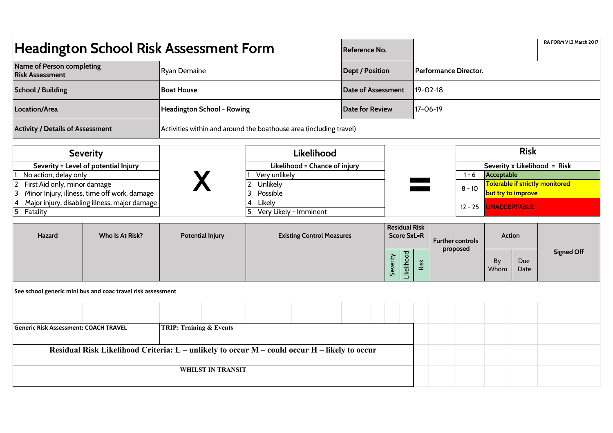| <b>Headington School Risk Assessment Form</b>                                                       | Reference No.                                               |                                                                    |                                            |                              |  |          |                         | RA FORM V1.3 March 2017 |                                                       |                   |  |  |  |
|-----------------------------------------------------------------------------------------------------|-------------------------------------------------------------|--------------------------------------------------------------------|--------------------------------------------|------------------------------|--|----------|-------------------------|-------------------------|-------------------------------------------------------|-------------------|--|--|--|
| Name of Person completing<br><b>Risk Assessment</b>                                                 | <b>Ryan Demaine</b>                                         |                                                                    |                                            | <b>Dept / Position</b>       |  |          | Performance Director.   |                         |                                                       |                   |  |  |  |
| <b>School / Building</b>                                                                            | <b>Boat House</b>                                           |                                                                    |                                            | <b>Date of Assessment</b>    |  |          | $19 - 02 - 18$          |                         |                                                       |                   |  |  |  |
| Location/Area                                                                                       | <b>Headington School - Rowing</b>                           |                                                                    |                                            | <b>Date for Review</b>       |  |          | 17-06-19                |                         |                                                       |                   |  |  |  |
| <b>Activity / Details of Assessment</b>                                                             |                                                             | Activities within and around the boathouse area (including travel) |                                            |                              |  |          |                         |                         |                                                       |                   |  |  |  |
| <b>Severity</b>                                                                                     |                                                             |                                                                    | Likelihood                                 |                              |  |          |                         |                         | <b>Risk</b>                                           |                   |  |  |  |
| Severity = Level of potential Injury                                                                |                                                             | Likelihood = Chance of injury                                      |                                            |                              |  |          |                         |                         | Severity x Likelihood = Risk                          |                   |  |  |  |
| No action, delay only                                                                               |                                                             | Very unlikely                                                      |                                            |                              |  |          | $1 - 6$                 | Acceptable              |                                                       |                   |  |  |  |
| First Aid only, minor damage<br>$\overline{2}$<br>Minor Injury, illness, time off work, damage<br>3 |                                                             | Unlikely<br>$\mathbf{2}$<br>3<br>Possible                          |                                            |                              |  |          |                         | $8 - 10$                | Tolerable if strictly monitored<br>but try to improve |                   |  |  |  |
| Major injury, disabling illness, major damage<br>4<br>5<br>Fatality                                 |                                                             | Likely<br>4<br>Very Likely - Imminent                              |                                            |                              |  |          |                         | $12 - 25$               | <b>UNACCEPTABLE</b>                                   |                   |  |  |  |
| Who Is At Risk?<br><b>Hazard</b>                                                                    | <b>Potential Injury</b><br><b>Existing Control Measures</b> |                                                                    | <b>Residual Risk</b><br><b>Score SxL=R</b> |                              |  |          | <b>Further controls</b> | <b>Action</b>           |                                                       |                   |  |  |  |
|                                                                                                     |                                                             |                                                                    |                                            | <b>ikelihood</b><br>Severity |  | proposed |                         | By<br>Whom              | Due<br>Date                                           | <b>Signed Off</b> |  |  |  |
| See school generic mini bus and coac travel risk assessment                                         |                                                             |                                                                    |                                            |                              |  |          |                         |                         |                                                       |                   |  |  |  |
|                                                                                                     |                                                             |                                                                    |                                            |                              |  |          |                         |                         |                                                       |                   |  |  |  |
| <b>Generic Risk Assessment: COACH TRAVEL</b>                                                        | <b>TRIP: Training &amp; Events</b>                          |                                                                    |                                            |                              |  |          |                         |                         |                                                       |                   |  |  |  |
| Residual Risk Likelihood Criteria: L - unlikely to occur M - could occur H - likely to occur        |                                                             |                                                                    |                                            |                              |  |          |                         |                         |                                                       |                   |  |  |  |
| <b>WHILST IN TRANSIT</b>                                                                            |                                                             |                                                                    |                                            |                              |  |          |                         |                         |                                                       |                   |  |  |  |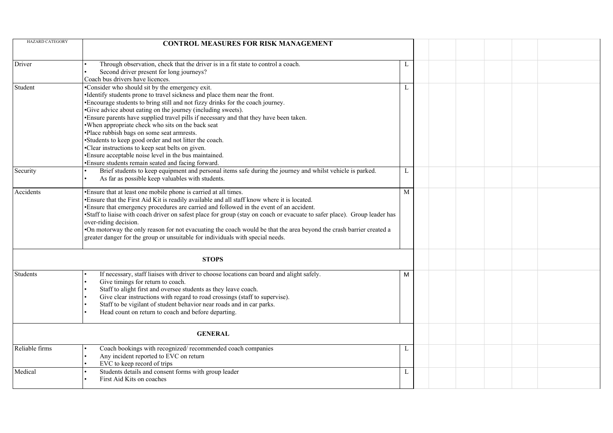| <b>HAZARD CATEGORY</b> | <b>CONTROL MEASURES FOR RISK MANAGEMENT</b>                                                                                                                                                                                                                                                                                                                                                                                                                                                                                                                                                                                                                                                                 |   |  |  |
|------------------------|-------------------------------------------------------------------------------------------------------------------------------------------------------------------------------------------------------------------------------------------------------------------------------------------------------------------------------------------------------------------------------------------------------------------------------------------------------------------------------------------------------------------------------------------------------------------------------------------------------------------------------------------------------------------------------------------------------------|---|--|--|
| Driver                 | Through observation, check that the driver is in a fit state to control a coach.<br>Second driver present for long journeys?<br>Coach bus drivers have licences.                                                                                                                                                                                                                                                                                                                                                                                                                                                                                                                                            | L |  |  |
| Student                | •Consider who should sit by the emergency exit.<br>•Identify students prone to travel sickness and place them near the front.<br>•Encourage students to bring still and not fizzy drinks for the coach journey.<br>•Give advice about eating on the journey (including sweets).<br>•Ensure parents have supplied travel pills if necessary and that they have been taken.<br>. When appropriate check who sits on the back seat<br>·Place rubbish bags on some seat armrests.<br>•Students to keep good order and not litter the coach.<br>•Clear instructions to keep seat belts on given.<br>•Ensure acceptable noise level in the bus maintained.<br>· Ensure students remain seated and facing forward. | L |  |  |
| Security               | Brief students to keep equipment and personal items safe during the journey and whilst vehicle is parked.<br>As far as possible keep valuables with students.                                                                                                                                                                                                                                                                                                                                                                                                                                                                                                                                               | L |  |  |
| Accidents              | •Ensure that at least one mobile phone is carried at all times.<br>•Ensure that the First Aid Kit is readily available and all staff know where it is located.<br>· Ensure that emergency procedures are carried and followed in the event of an accident.<br>•Staff to liaise with coach driver on safest place for group (stay on coach or evacuate to safer place). Group leader has<br>over-riding decision.<br>•On motorway the only reason for not evacuating the coach would be that the area beyond the crash barrier created a<br>greater danger for the group or unsuitable for individuals with special needs.                                                                                   | M |  |  |
|                        | <b>STOPS</b>                                                                                                                                                                                                                                                                                                                                                                                                                                                                                                                                                                                                                                                                                                |   |  |  |
| Students               | If necessary, staff liaises with driver to choose locations can board and alight safely.<br>Give timings for return to coach.<br>Staff to alight first and oversee students as they leave coach.<br>Give clear instructions with regard to road crossings (staff to supervise).<br>Staff to be vigilant of student behavior near roads and in car parks.<br>Head count on return to coach and before departing.                                                                                                                                                                                                                                                                                             | M |  |  |
|                        | <b>GENERAL</b>                                                                                                                                                                                                                                                                                                                                                                                                                                                                                                                                                                                                                                                                                              |   |  |  |
| Reliable firms         | Coach bookings with recognized/recommended coach companies<br>Any incident reported to EVC on return<br>EVC to keep record of trips                                                                                                                                                                                                                                                                                                                                                                                                                                                                                                                                                                         | L |  |  |
| Medical                | Students details and consent forms with group leader<br>First Aid Kits on coaches                                                                                                                                                                                                                                                                                                                                                                                                                                                                                                                                                                                                                           | L |  |  |